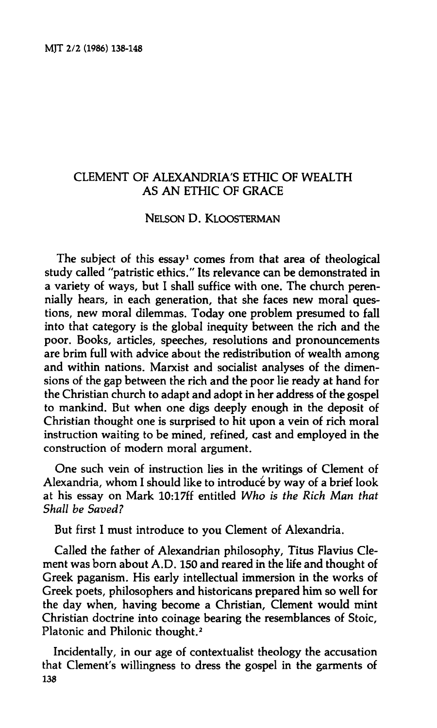## **CLEMENT OF ALEXANDRIA'S ETHIC OF WEALTH AS AN ETHIC OF GRACE**

## **NELSON D. KLOOSTERMAN**

**The subject of this essay<sup>1</sup> comes from that area of theological study called ''patristic ethics." Its relevance can be demonstrated in a variety of ways, but I shall suffice with one. The church perennially hears, in each generation, that she faces new moral questions, new moral dilemmas. Today one problem presumed to fall into that category is the global inequity between the rich and the poor. Books, articles, speeches, resolutions and pronouncements are brim full with advice about the redistribution of wealth among and within nations. Marxist and socialist analyses of the dimensions of the gap between the rich and the poor lie ready at hand for the Christian church to adapt and adopt in her address of the gospel to mankind. But when one digs deeply enough in the deposit of Christian thought one is surprised to hit upon a vein of rich moral instruction waiting to be mined, refined, cast and employed in the construction of modern moral argument.** 

**One such vein of instruction lies in the writings of Clement of Alexandria, whom I should like to introduce by way of a brief look at his essay on Mark 10:17ff entitled** *Who is the Rich Man that Shall be Saved?* 

**But first I must introduce to you Clement of Alexandria.** 

**Called the father of Alexandrian philosophy, Titus Flavius Clement was born about A.D. 150 and reared in the life and thought of Greek paganism. His early intellectual immersion in the works of Greek poets, philosophers and historicans prepared him so well for the day when, having become a Christian, Clement would mint Christian doctrine into coinage bearing the resemblances of Stoic, Platonic and Philonic thought.<sup>2</sup>**

**Incidentally, in our age of contextualist theology the accusation that Clement's willingness to dress the gospel in the garments of 138**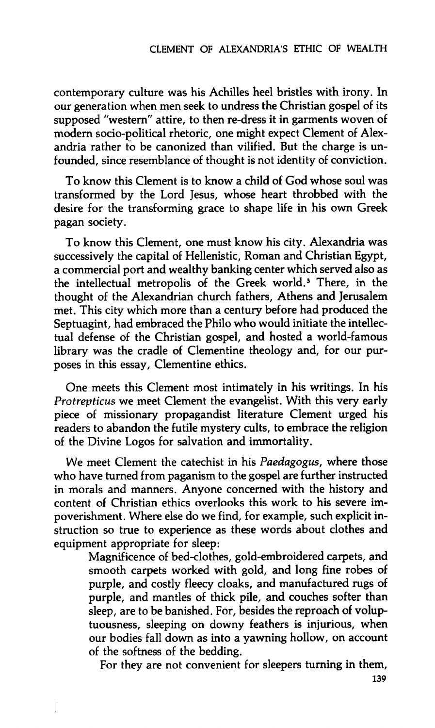**contemporary culture was his Achilles heel bristles with irony. In our generation when men seek to undress the Christian gospel of its supposed "western" attire, to then re-dress it in garments woven of modern socio-political rhetoric, one might expect Clement of Alex**andria rather to be canonized than vilified. But the charge is un**founded, since resemblance of thought is not identity of conviction.** 

**To know this Clement is to know a child of God whose soul was transformed by the Lord Jesus, whose heart throbbed with the desire for the transforming grace to shape life in his own Greek pagan society.** 

**To know this Clement, one must know his city. Alexandria was successively the capital of Hellenistic, Roman and Christian Egypt, a commercial port and wealthy banking center which served also as the intellectual metropolis of the Greek world.<sup>3</sup> There, in the thought of the Alexandrian church fathers, Athens and Jerusalem met. This city which more than a century before had produced the Septuagint, had embraced the Philo who would initiate the intellectual defense of the Christian gospel, and hosted a world-famous library was the cradle of Clementine theology and, for our purposes in this essay, Clementine ethics.** 

**One meets this Clement most intimately in his writings. In his**  *Protrepticus* **we meet Clement the evangelist. With this very early piece of missionary propagandist literature Clement urged his readers to abandon the futile mystery cults, to embrace the religion of the Divine Logos for salvation and immortality.** 

**We meet Clement the catechist in his** *Paedagogus,* **where those who have turned from paganism to the gospel are further instructed in morals and manners. Anyone concerned with the history and content of Christian ethics overlooks this work to his severe impoverishment. Where else do we find, for example, such explicit instruction so true to experience as these words about clothes and equipment appropriate for sleep:** 

> **Magnificence of bed-clothes, gold-embroidered carpets, and smooth carpets worked with gold, and long fine robes of purple, and costly fleecy cloaks, and manufactured rugs of purple, and mantles of thick pile, and couches softer than sleep, are to be banished. For, besides the reproach of voluptuousness, sleeping on downy feathers is injurious, when our bodies fall down as into a yawning hollow, on account of the softness of the bedding.**

**For they are not convenient for sleepers turning in them,** 

**I**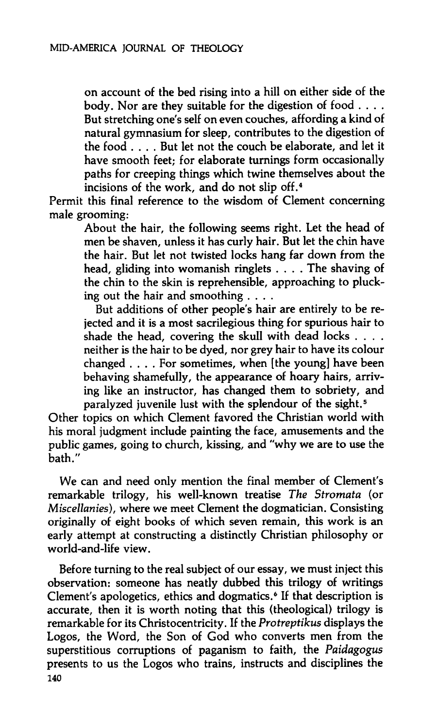**on account of the bed rising into a hill on either side of the body. Nor are they suitable for the digestion of food ... . But stretching one's self on even couches, affording a kind of natural gymnasium for sleep, contributes to the digestion of the food ... . But let not the couch be elaborate, and let it have smooth feet; for elaborate turnings form occasionally paths for creeping things which twine themselves about the incisions of the work, and do not slip off.<sup>4</sup>**

**Permit this final reference to the wisdom of Clement concerning male grooming:** 

> **About the hair, the following seems right. Let the head of men be shaven, unless it has curly hair. But let the chin have the hair. But let not twisted locks hang far down from the head, gliding into womanish ringlets ... . The shaving of the chin to the skin is reprehensible, approaching to plucking out the hair and smoothing ... .**

> **But additions of other people's hair are entirely to be rejected and it is a most sacrilegious thing for spurious hair to shade the head, covering the skull with dead locks ... . neither is the hair to be dyed, nor grey hair to have its colour changed ... . For sometimes, when [the young] have been behaving shamefully, the appearance of hoary hairs, arriving like an instructor, has changed them to sobriety, and paralyzed juvenile lust with the splendour of the sight.<sup>5</sup>**

**Other topics on which Clement favored the Christian world with his moral judgment include painting the face, amusements and the public games, going to church, kissing, and "why we are to use the bath."** 

**We can and need only mention the final member of Clement's remarkable trilogy, his well-known treatise** *The Stromata* **(or**  *Miscellanies),* **where we meet Clement the dogmatician. Consisting originally of eight books of which seven remain, this work is an early attempt at constructing a distinctly Christian philosophy or world-and-life view.** 

**Before turning to the real subject of our essay, we must inject this observation: someone has neatly dubbed this trilogy of writings Clement's apologetics, ethics and dogmatics.<sup>6</sup> If that description is accurate, then it is worth noting that this (theological) trilogy is remarkable for its Christocentricity. If the** *Protreptikus* **displays the Logos, the Word, the Son of God who converts men from the superstitious corruptions of paganism to faith, the** *Paidagogus*  **presents to us the Logos who trains, instructs and disciplines the 140**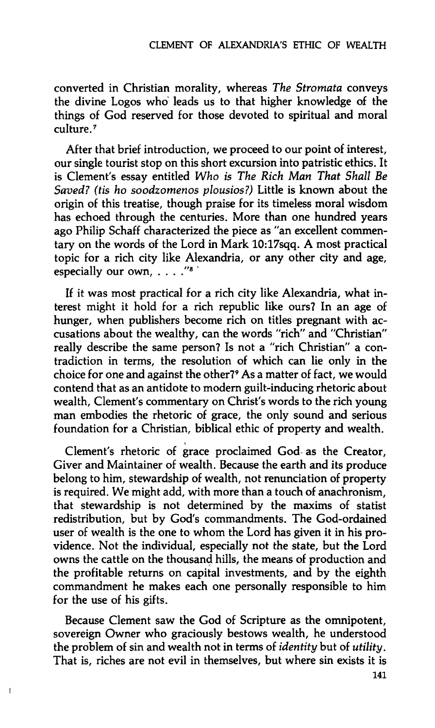**converted in Christian morality, whereas** *The Strornata* **conveys the divine Logos who leads us to that higher knowledge of the things of God reserved for those devoted to spiritual and moral culture.<sup>7</sup>**

**After that brief introduction, we proceed to our point of interest, our single tourist stop on this short excursion into patristic ethics. It is Clement's essay entitled** *Who is The Rich Man That Shall Be Saved? (tis ho soodzomenos plousios?)* **Little is known about the origin of this treatise, though praise for its timeless moral wisdom has echoed through the centuries. More than one hundred years ago Philip Schaff characterized the piece as "an excellent commentary on the words of the Lord in Mark 10:17sqq. A most practical topic for a rich city like Alexandria, or any other city and age, especially our own, . . . ."<sup>8</sup>**

**If it was most practical for a rich city like Alexandria, what interest might it hold for a rich republic like ours? In an age of hunger, when publishers become rich on titles pregnant with accusations about the wealthy, can the words "rich" and "Christian" really describe the same person? Is not a "rich Christian" a contradiction in terms, the resolution of which can lie only in the choice for one and against the other?<sup>9</sup> As a matter of fact, we would contend that as an antidote to modern guilt-inducing rhetoric about wealth, Clement's commentary on Christ's words to the rich young man embodies the rhetoric of grace, the only sound and serious foundation for a Christian, biblical ethic of property and wealth.** 

**Clement's rhetoric of grace proclaimed God as the Creator, Giver and Maintainer of wealth. Because the earth and its produce belong to him, stewardship of wealth, not renunciation of property is required. We might add, with more than a touch of anachronism, that stewardship is not determined by the maxims of statist redistribution, but by God's commandments. The God-ordained user of wealth is the one to whom the Lord has given it in his providence. Not the individual, especially not the state, but the Lord owns the cattle on the thousand hills, the means of production and the profitable returns on capital investments, and by the eighth commandment he makes each one personally responsible to him for the use of his gifts.** 

**Because Clement saw the God of Scripture as the omnipotent, sovereign Owner who graciously bestows wealth, he understood the problem of sin and wealth not in terms of** *identity* **but of** *utility.*  **That is, riches are not evil in themselves, but where sin exists it is** 

 $\mathfrak t$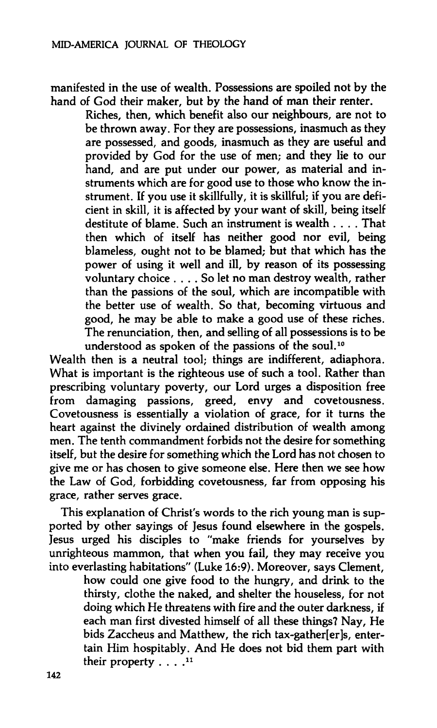**manifested in the use of wealth. Possessions are spoiled not by the hand of God their maker, but by the hand of man their renter.** 

**Riches, then, which benefit also our neighbours, are not to be thrown away. For they are possessions, inasmuch as they are possessed, and goods, inasmuch as they are useful and provided by God for the use of men; and they lie to our hand, and are put under our power, as material and instruments which are for good use to those who know the instrument. If you use it skillfully, it is skillful; if you are deficient in skill, it is affected by your want of skill, being itself destitute of blame. Such an instrument is wealth ... . That then which of itself has neither good nor evil, being blameless, ought not to be blamed; but that which has the power of using it well and ill, by reason of its possessing voluntary choice ... . So let no man destroy wealth, rather than the passions of the soul, which are incompatible with the better use of wealth. So that, becoming virtuous and good, he may be able to make a good use of these riches. The renunciation, then, and selling of all possessions is to be understood as spoken of the passions of the soul.<sup>10</sup>**

**Wealth then is a neutral tool; things are indifferent, adiaphora. What is important is the righteous use of such a tool. Rather than prescribing voluntary poverty, our Lord urges a disposition free**  from damaging passions, greed, envy and covetousness. **Covetousness is essentially a violation of grace, for it turns the heart against the divinely ordained distribution of wealth among men. The tenth commandment forbids not the desire for something itself, but the desire for something which the Lord has not chosen to give me or has chosen to give someone else. Here then we see how the Law of God, forbidding covetousness, far from opposing his grace, rather serves grace.** 

**This explanation of Christ's words to the rich young man is supported by other sayings of Jesus found elsewhere in the gospels. Jesus urged his disciples to "make friends for yourselves by unrighteous mammon, that when you fail, they may receive you into everlasting habitations" (Luke 16:9). Moreover, says Clement,** 

> **how could one give food to the hungry, and drink to the thirsty, clothe the naked, and shelter the houseless, for not doing which He threatens with fire and the outer darkness, if each man first divested himself of all these things? Nay, He bids Zaccheus and Matthew, the rich tax-gather[er]s, entertain Him hospitably. And He does not bid them part with**  their property . . . .<sup>11</sup>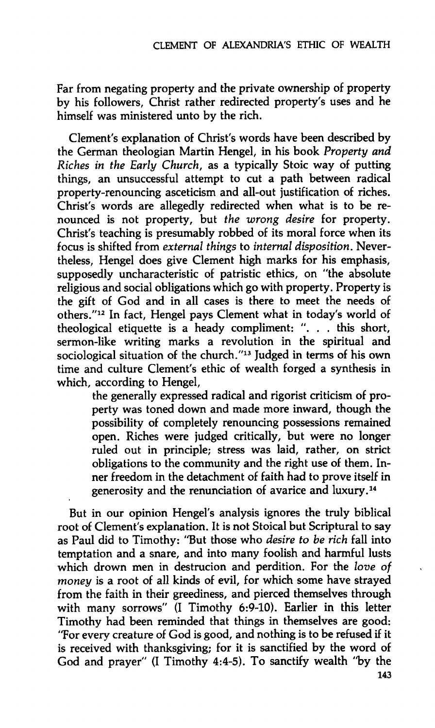**Far from negating property and the private ownership of property by his followers, Christ rather redirected property's uses and he himself was ministered unto by the rich.** 

**Clement's explanation of Christ's words have been described by the German theologian Martin Hengel, in his book** *Property and Riches in the Early Church,* **as a typically Stoic way of putting things, an unsuccessful attempt to cut a path between radical property-renouncing asceticism and all-out justification of riches. Christ's words are allegedly redirected when what is to be renounced is not property, but** *the wrong desire* **for property. Christ's teaching is presumably robbed of its moral force when its focus is shifted from** *external things* **to** *internal disposition.* **Nevertheless, Hengel does give Clement high marks for his emphasis, supposedly uncharacteristic of patristic ethics, on "the absolute religious and social obligations which go with property. Property is the gift of God and in all cases is there to meet the needs of others."<sup>12</sup> In fact, Hengel pays Clement what in today's world of theological etiquette is a heady compliment: ". . . this short, sermon-like writing marks a revolution in the spiritual and sociological situation of the church."<sup>13</sup> Judged in terms of his own time and culture Clement's ethic of wealth forged a synthesis in which, according to Hengel,** 

> **the generally expressed radical and rigorist criticism of property was toned down and made more inward, though the possibility of completely renouncing possessions remained open. Riches were judged critically, but were no longer ruled out in principle; stress was laid, rather, on strict obligations to the community and the right use of them. Inner freedom in the detachment of faith had to prove itself in generosity and the renunciation of avarice and luxury.<sup>14</sup>**

**But in our opinion Hengel's analysis ignores the truly biblical root of Clement's explanation. It is not Stoical but Scriptural to say as Paul did to Timothy: "But those who** *desire to be rich* **fall into temptation and a snare, and into many foolish and harmful lusts which drown men in destrucion and perdition. For the** *love of money* **is a root of all kinds of evil, for which some have strayed from the faith in their greediness, and pierced themselves through with many sorrows" (I Timothy 6:9-10). Earlier in this letter Timothy had been reminded that things in themselves are good: "For every creature of God is good, and nothing is to be refused if it is received with thanksgiving; for it is sanctified by the word of God and prayer" (I Timothy 4:4-5). To sanctify wealth "by the**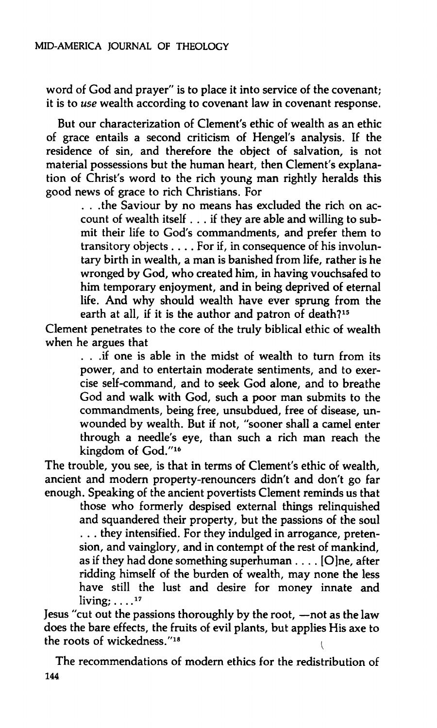**word of God and prayer" is to place it into service of the covenant; it is to** *use* **wealth according to covenant law in covenant response.** 

**But our characterization of Clement's ethic of wealth as an ethic of grace entails a second criticism of Hengel's analysis. If the residence of sin, and therefore the object of salvation, is not material possessions but the human heart, then Clement's explanation of Christ's word to the rich young man rightly heralds this good news of grace to rich Christians. For** 

> **. . .the Saviour by no means has excluded the rich on account of wealth itself .. . if they are able and willing to submit their life to God's commandments, and prefer them to transitory objects ... . For if, in consequence of his involuntary birth in wealth, a man is banished from life, rather is he wronged by God, who created him, in having vouchsafed to him temporary enjoyment, and in being deprived of eternal life. And why should wealth have ever sprung from the earth at all, if it is the author and patron of death?<sup>15</sup>**

**Clement penetrates to the core of the truly biblical ethic of wealth when he argues that** 

> **. . .if one is able in the midst of wealth to turn from its power, and to entertain moderate sentiments, and to exercise self-command, and to seek God alone, and to breathe God and walk with God, such a poor man submits to the commandments, being free, unsubdued, free of disease, unwounded by wealth. But if not, "sooner shall a camel enter through a needle's eye, than such a rich man reach the kingdom of God."<sup>16</sup>**

**The trouble, you see, is that in terms of Clement's ethic of wealth, ancient and modern property-renouncers didn't and don't go far enough. Speaking of the ancient povertists Clement reminds us that** 

> **those who formerly despised external things relinquished and squandered their property, but the passions of the soul . . . they intensified. For they indulged in arrogance, pretension, and vainglory, and in contempt of the rest of mankind, as if they had done something superhuman ... . [OJne, after ridding himself of the burden of wealth, may none the less have still the lust and desire for money innate and living;... . 17**

**Jesus "cut out the passions thoroughly by the root, —not as the law does the bare effects, the fruits of evil plants, but applies His axe to the roots of wickedness."<sup>18</sup> 1**  *<b>1 <b>1 <b>1 <b>1 <b>1 <b>1 <b>1* 

**The recommendations of modern ethics for the redistribution of 144**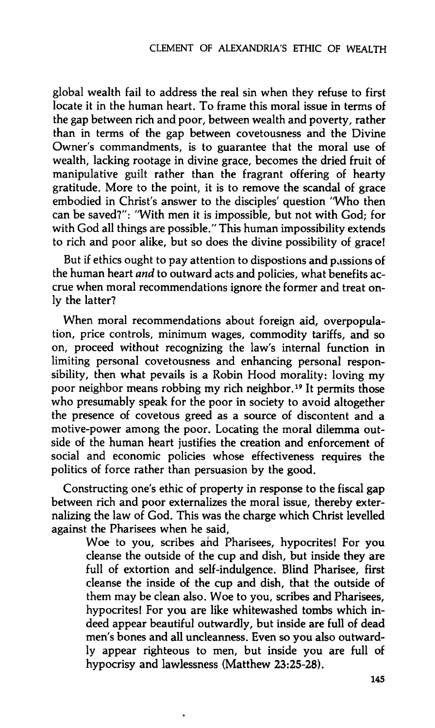**global wealth fail to address the real sin when they refuse to first locate it in the human heart. To frame this moral issue in terms of the gap between rich and poor, between wealth and poverty, rather than in terms of the gap between covetousness and the Divine Owner's commandments, is to guarantee that the moral use of wealth, lacking rootage in divine grace, becomes the dried fruit of manipulative guilt rather than the fragrant offering of hearty gratitude. More to the point, it is to remove the scandal of grace embodied in Christ's answer to the disciples' question "Who then can be saved?": "With men it is impossible, but not with God; for with God all things are possible." This human impossibility extends to rich and poor alike, but so does the divine possibility of grace!** 

**But if ethics ought to pay attention to dispostions and passions of the human heart** *and* **to outward acts and policies, what benefits accrue when moral recommendations ignore the former and treat only the latter?** 

**When moral recommendations about foreign aid, overpopulation, price controls, minimum wages, commodity tariffs, and so on, proceed without recognizing the law's internal function in limiting personal covetousness and enhancing personal responsibility, then what pevails is a Robin Hood morality: loving my poor neighbor means robbing my rich neighbor.<sup>19</sup> It permits those who presumably speak for the poor in society to avoid altogether the presence of covetous greed as a source of discontent and a motive-power among the poor. Locating the moral dilemma outside of the human heart justifies the creation and enforcement of social and economic policies whose effectiveness requires the politics of force rather than persuasion by the good.** 

**Constructing one's ethic of property in response to the fiscal gap between rich and poor externalizes the moral issue, thereby externalizing the law of God. This was the charge which Christ levelled against the Pharisees when he said.** 

> **Woe to you, scribes and Pharisees, hypocrites! For you cleanse the outside of the cup and dish, but inside they are full of extortion and self-indulgence. Blind Pharisee, first cleanse the inside of the cup and dish, that the outside of them may be clean also. Woe to you, scribes and Pharisees, hypocrites! For you are like whitewashed tombs which indeed appear beautiful outwardly, but inside are full of dead men's bones and all uncleanness. Even so you also outwardly appear righteous to men, but inside you are full of hypocrisy and lawlessness (Matthew 23:25-28).**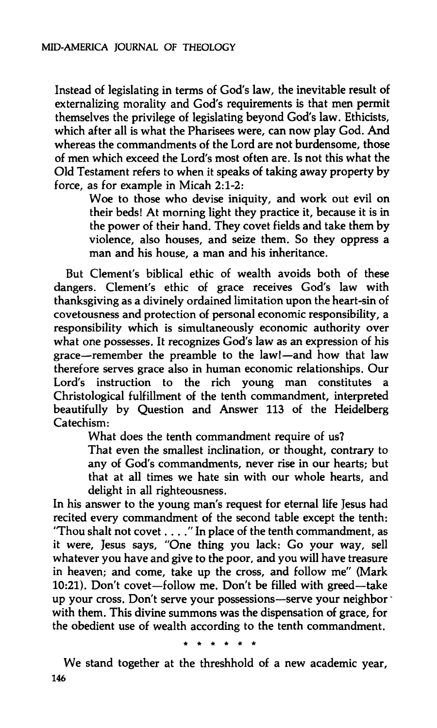**Instead of legislating in terms of God's law, the inevitable result of externalizing morality and God's requirements is that men permit themselves the privilege of legislating beyond God's law. Ethicists, which after all is what the Pharisees were, can now play God. And whereas the commandments of the Lord are not burdensome, those of men which exceed the Lord's most often are. Is not this what the Old Testament refers to when it speaks of taking away property by force, as for example in Micah 2:1-2:** 

> **Woe to those who devise iniquity, and work out evil on their beds! At morning light they practice it, because it is in the power of their hand. They covet fields and take them by violence, also houses, and seize them. So they oppress a man and his house, a man and his inheritance.**

**But Clement's biblical ethic of wealth avoids both of these dangers. Clement's ethic of grace receives God's law with thanksgiving as a divinely ordained limitation upon the heart-sin of covetousness and protection of personal economic responsibility, a responsibility which is simultaneously economic authority over what one possesses. It recognizes God's law as an expression of his grace—remember the preamble to the law!—and how that law therefore serves grace also in human economic relationships. Our Lord's instruction to the rich young man constitutes a Christological fulfillment of the tenth commandment, interpreted beautifully by Question and Answer 113 of the Heidelberg Catechism:** 

**What does the tenth commandment require of us?** 

**That even the smallest inclination, or thought, contrary to any of God's commandments, never rise in our hearts; but that at all times we hate sin with our whole hearts, and delight in all righteousness.** 

**In his answer to the young man's request for eternal life Jesus had recited every commandment of the second table except the tenth: "Thou shalt not covet. ... " In place of the tenth commandment, as it were, Jesus says, "One thing you lack: Go your way, sell whatever you have and give to the poor, and you will have treasure in heaven; and come, take up the cross, and follow me" (Mark 10:21). Don't covet—follow me. Don't be filled with greed—take**  up your cross. Don't serve your possessions-serve your neighbor \* **with them. This divine summons was the dispensation of grace, for the obedient use of wealth according to the tenth commandment.** 

**\*\*\*\*\* \*** 

**We stand together at the threshhold of a new academic year, 146**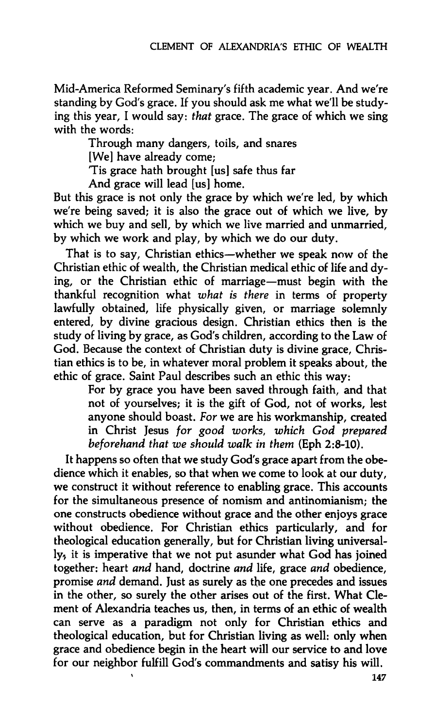**Mid-America Reformed Seminary's fifth academic year. And we're standing by God's grace. If you should ask me what we'll be studying this year, I would say:** *that* **grace. The grace of which we sing with the words:** 

**Through many dangers, toils, and snares** 

**[We] have already come;** 

**'Tis grace hath brought [us] safe thus far** 

**And grace will lead [us] home.** 

**But this grace is not only the grace by which we're led, by which we're being saved; it is also the grace out of which we live, by which we buy and sell, by which we live married and unmarried, by which we work and play, by which we do our duty.** 

**That is to say. Christian ethics—whether we speak now of the Christian ethic of wealth, the Christian medical ethic of life and dying, or the Christian ethic of marriage—must begin with the thankful recognition what** *what is there* **in terms of property lawfully obtained, life physically given, or marriage solemnly entered, by divine gracious design. Christian ethics then is the study of living by grace, as God's children, according to the Law of God. Because the context of Christian duty is divine grace. Christian ethics is to be, in whatever moral problem it speaks about, the ethic of grace. Saint Paul describes such an ethic this way:** 

**For by grace you have been saved through faith, and that not of yourselves; it is the gift of God, not of works, lest anyone should boast.** *For* **we are his workmanship, created in Christ Jesus** *for good works, which God prepared beforehand that we should walk in them* **(Eph 2:8-10).** 

**It happens so often that we study God's grace apart from the obedience which it enables, so that when we come to look at our duty, we construct it without reference to enabling grace. This accounts for the simultaneous presence of nomism and antinomianism; the one constructs obedience without grace and the other enjoys grace without obedience. For Christian ethics particularly, and for theological education generally, but for Christian living universally, it is imperative that we not put asunder what God has joined together: heart** *and* **hand, doctrine** *and* **life, grace** *and* **obedience, promise** *and* **demand. Just as surely as the one precedes and issues in the other, so surely the other arises out of the first. What Clement of Alexandria teaches us, then, in terms of an ethic of wealth can serve as a paradigm not only for Christian ethics and theological education, but for Christian living as well: only when grace and obedience begin in the heart will our service to and love for our neighbor fulfill God's commandments and satisy his will.**